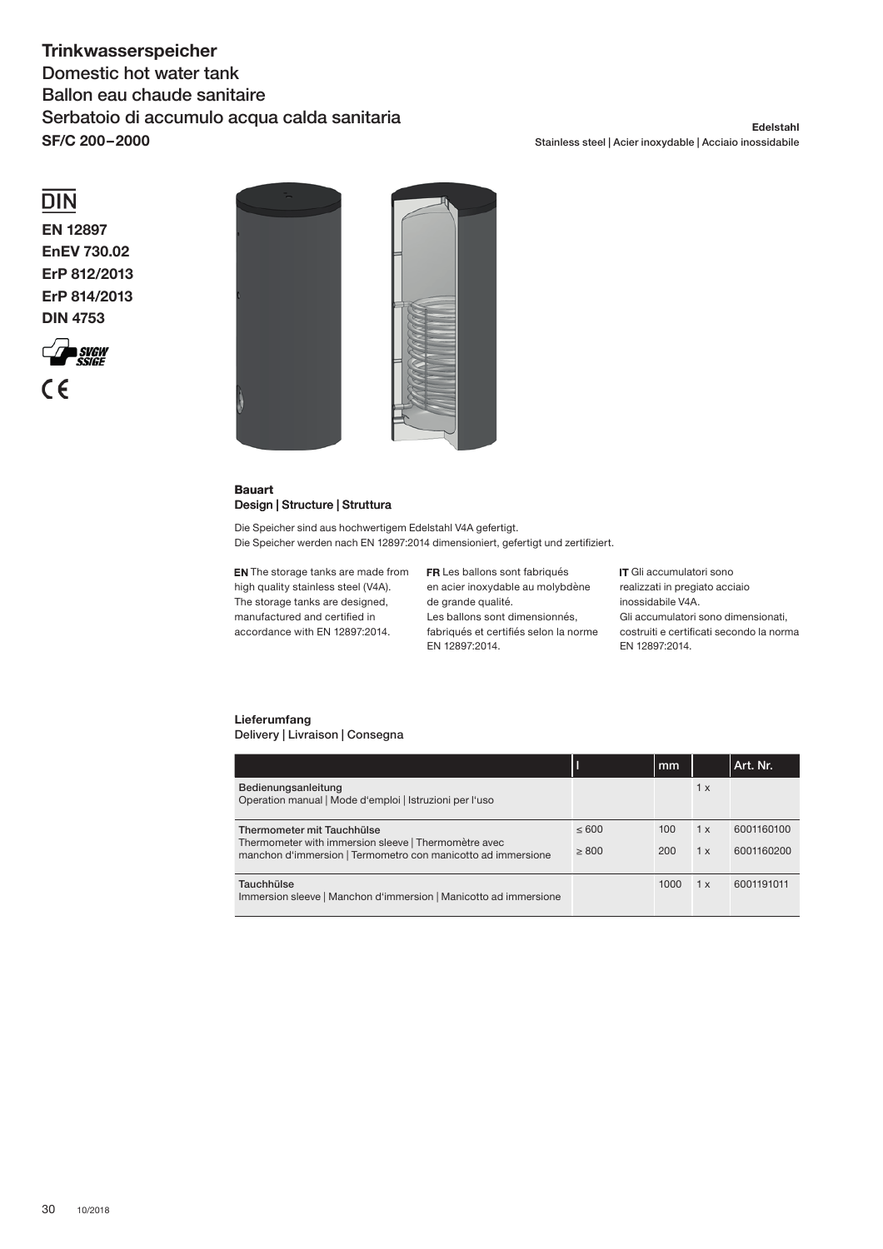# **Trinkwasserspeicher**

Domestic hot water tank Ballon eau chaude sanitaire Serbatoio di accumulo acqua calda sanitaria **SF/C 200 – 2000**

#### **Edelstahl** Stainless steel | Acier inoxydable | Acciaio inossidabile

## $\overline{DIN}$

**EN 12897 EnEV 730.02 ErP 812/2013 ErP 814/2013 DIN 4753**





#### **Bauart** Design | Structure | Struttura

Die Speicher sind aus hochwertigem Edelstahl V4A gefertigt. Die Speicher werden nach EN 12897:2014 dimensioniert, gefertigt und zertifiziert.

**EN** The storage tanks are made from high quality stainless steel (V4A). The storage tanks are designed, manufactured and certified in accordance with EN 12897:2014.

FR Les ballons sont fabriqués en acier inoxydable au molybdène de grande qualité. Les ballons sont dimensionnés, fabriqués et certifiés selon la norme EN 12897:2014.

IT Gli accumulatori sono realizzati in pregiato acciaio inossidabile V4A. Gli accumulatori sono dimensionati, costruiti e certificati secondo la norma EN 12897:2014.

### **Lieferumfang** Delivery | Livraison | Consegna

|                                                                                                                                                    |               | mm         |            | Art. Nr.                 |
|----------------------------------------------------------------------------------------------------------------------------------------------------|---------------|------------|------------|--------------------------|
| Bedienungsanleitung<br>Operation manual   Mode d'emploi   Istruzioni per l'uso                                                                     |               |            | 1 x        |                          |
| Thermometer mit Tauchhülse<br>Thermometer with immersion sleeve   Thermomètre avec<br>manchon d'immersion   Termometro con manicotto ad immersione | <600<br>> 800 | 100<br>200 | 1 x<br>1 x | 6001160100<br>6001160200 |
| Tauchhülse<br>Immersion sleeve   Manchon d'immersion   Manicotto ad immersione                                                                     |               | 1000       | 1 x        | 6001191011               |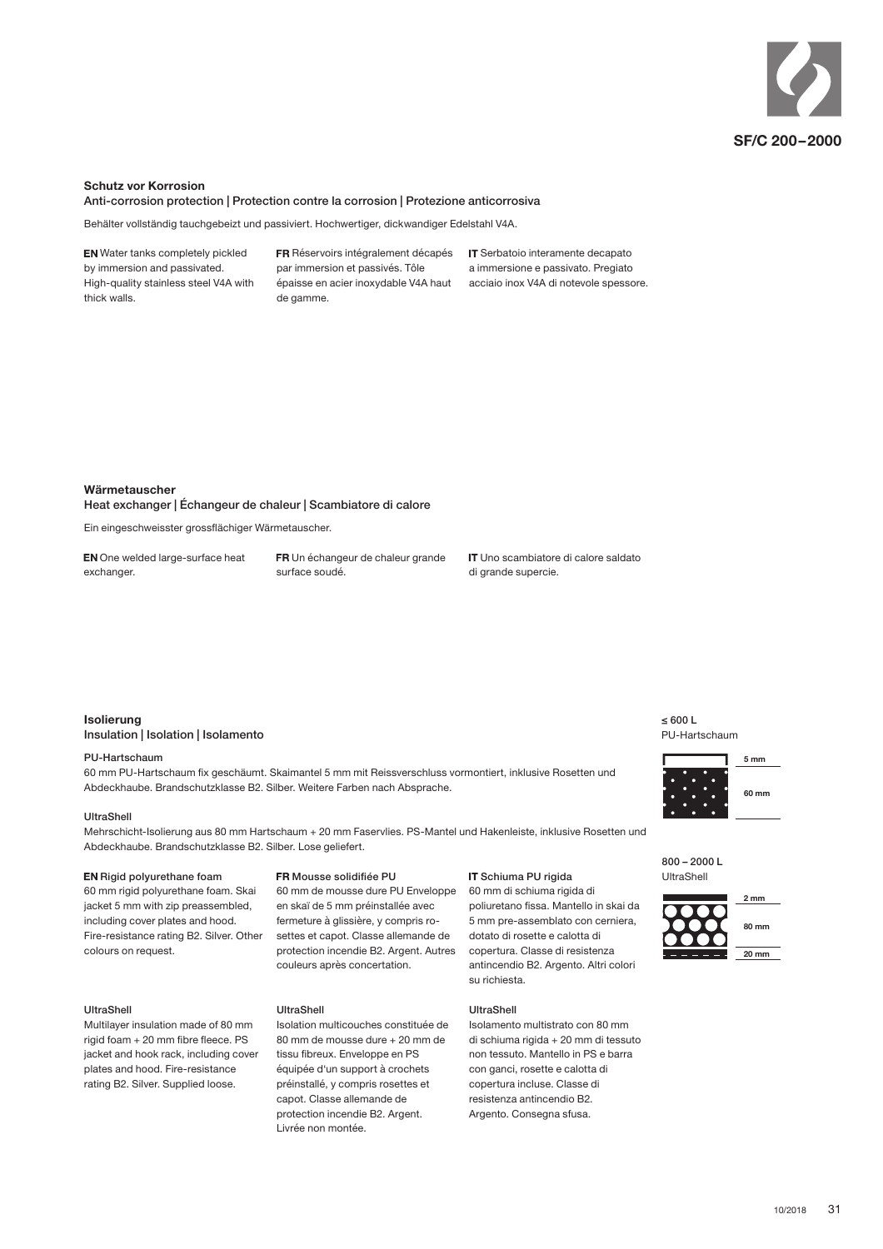

#### **Schutz vor Korrosion**

Anti-corrosion protection | Protection contre la corrosion | Protezione anticorrosiva

Behälter vollständig tauchgebeizt und passiviert. Hochwertiger, dickwandiger Edelstahl V4A.

**EN** Water tanks completely pickled by immersion and passivated. High-quality stainless steel V4A with thick walls.

FR Réservoirs intégralement décapés par immersion et passivés. Tôle épaisse en acier inoxydable V4A haut de gamme.

IT Serbatoio interamente decapato a immersione e passivato. Pregiato acciaio inox V4A di notevole spessore.

#### **Wärmetauscher**

Heat exchanger | Échangeur de chaleur | Scambiatore di calore

Ein eingeschweisster grossflächiger Wärmetauscher.

EN One welded large-surface heat exchanger.

FR Un échangeur de chaleur grande surface soudé.

IT Uno scambiatore di calore saldato di grande supercie.

### **Isolierung** Insulation | Isolation | Isolamento

#### PU-Hartschaum

60 mm PU-Hartschaum fix geschäumt. Skaimantel 5 mm mit Reissverschluss vormontiert, inklusive Rosetten und Abdeckhaube. Brandschutzklasse B2. Silber. Weitere Farben nach Absprache.

#### UltraShell

Mehrschicht-Isolierung aus 80 mm Hartschaum + 20 mm Faservlies. PS-Mantel und Hakenleiste, inklusive Rosetten und Abdeckhaube. Brandschutzklasse B2. Silber. Lose geliefert.

### EN Rigid polyurethane foam

60 mm rigid polyurethane foam. Skai jacket 5 mm with zip preassembled, including cover plates and hood. Fire-resistance rating B2. Silver. Other colours on request.

#### UltraShell

Multilayer insulation made of 80 mm  $rigid$  foam  $+20$  mm fibre fleece. PS jacket and hook rack, including cover plates and hood. Fire-resistance rating B2. Silver. Supplied loose.

#### ER Mousse solidifiée PLL

60 mm de mousse dure PU Enveloppe en skaï de 5 mm préinstallée avec fermeture à glissière, y compris rosettes et capot. Classe allemande de protection incendie B2. Argent. Autres couleurs après concertation.

#### UltraShell

Isolation multicouches constituée de 80 mm de mousse dure + 20 mm de tissu fibreux. Enveloppe en PS équipée d'un support à crochets préinstallé, y compris rosettes et capot. Classe allemande de protection incendie B2. Argent. Livrée non montée.

#### IT Schiuma PU rigida

60 mm di schiuma rigida di poliuretano fissa. Mantello in skaj da 5 mm pre-assemblato con cerniera, dotato di rosette e calotta di copertura. Classe di resistenza antincendio B2. Argento. Altri colori su richiesta.

#### UltraShell

Isolamento multistrato con 80 mm di schiuma rigida + 20 mm di tessuto non tessuto. Mantello in PS e barra con ganci, rosette e calotta di copertura incluse. Classe di resistenza antincendio B2. Argento. Consegna sfusa.

 $\leq 600$  L PU-Hartschaum



800 – 2000 L I IltraShell

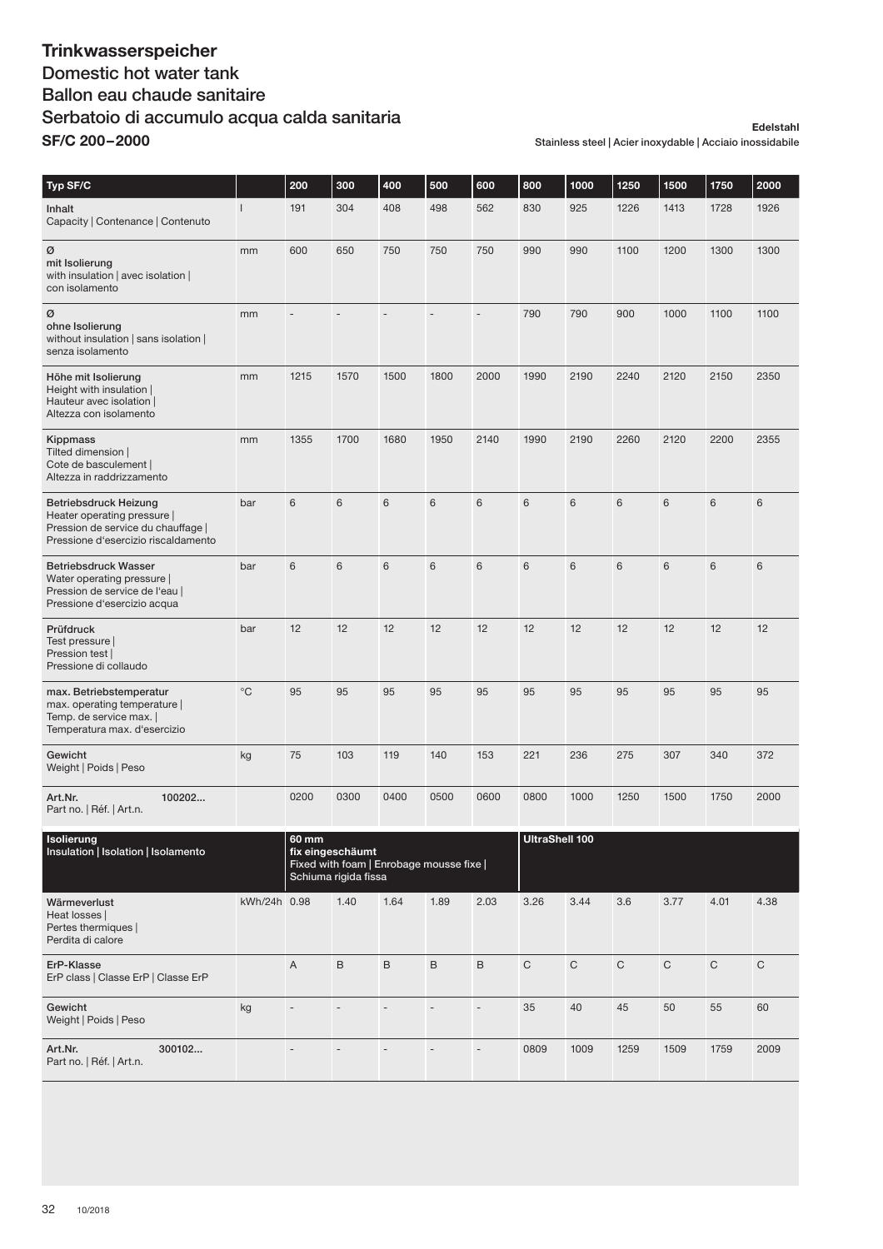### **Trinkwasserspeicher** Domestic hot water tank Ballon eau chaude sanitaire Serbatoio di accumulo acqua calda sanitaria **SF/C 200 – 2000**

#### **Edelstahl** Stainless steel | Acier inoxydable | Acciaio inossidabile

| Typ SF/C                                                                                                                          |                | 200                                                                                           | 300  | 400             | 500             | 600                          | 800                   | 1000  | 1250 | 1500 | 1750 | 2000 |
|-----------------------------------------------------------------------------------------------------------------------------------|----------------|-----------------------------------------------------------------------------------------------|------|-----------------|-----------------|------------------------------|-----------------------|-------|------|------|------|------|
| Inhalt<br>Capacity   Contenance   Contenuto                                                                                       | $\overline{1}$ | 191                                                                                           | 304  | 408             | 498             | 562                          | 830                   | 925   | 1226 | 1413 | 1728 | 1926 |
| Ø<br>mit Isolierung<br>with insulation   avec isolation  <br>con isolamento                                                       | mm             | 600                                                                                           | 650  | 750             | 750             | 750                          | 990                   | 990   | 1100 | 1200 | 1300 | 1300 |
| Ø<br>ohne Isolierung<br>without insulation   sans isolation  <br>senza isolamento                                                 | mm             |                                                                                               |      | L.              | ÷,              | $\qquad \qquad \blacksquare$ | 790                   | 790   | 900  | 1000 | 1100 | 1100 |
| Höhe mit Isolierung<br>Height with insulation  <br>Hauteur avec isolation  <br>Altezza con isolamento                             | mm             | 1215                                                                                          | 1570 | 1500            | 1800            | 2000                         | 1990                  | 2190  | 2240 | 2120 | 2150 | 2350 |
| Kippmass<br>Tilted dimension  <br>Cote de basculement  <br>Altezza in raddrizzamento                                              | mm             | 1355                                                                                          | 1700 | 1680            | 1950            | 2140                         | 1990                  | 2190  | 2260 | 2120 | 2200 | 2355 |
| Betriebsdruck Heizung<br>Heater operating pressure  <br>Pression de service du chauffage  <br>Pressione d'esercizio riscaldamento | bar            | 6                                                                                             | 6    | $6\phantom{1}6$ | 6               | 6                            | 6                     | 6     | 6    | 6    | 6    | 6    |
| <b>Betriebsdruck Wasser</b><br>Water operating pressure  <br>Pression de service de l'eau  <br>Pressione d'esercizio acqua        | bar            | 6                                                                                             | 6    | $6\phantom{1}6$ | $6\phantom{1}6$ | 6                            | 6                     | $6\,$ | 6    | 6    | 6    | 6    |
| Prüfdruck<br>Test pressure  <br>Pression test  <br>Pressione di collaudo                                                          | bar            | 12                                                                                            | 12   | 12              | 12              | 12                           | 12                    | 12    | 12   | 12   | 12   | 12   |
| max. Betriebstemperatur<br>max. operating temperature  <br>Temp. de service max.  <br>Temperatura max. d'esercizio                | $^{\circ}$ C   | 95                                                                                            | 95   | 95              | 95              | 95                           | 95                    | 95    | 95   | 95   | 95   | 95   |
| Gewicht<br>Weight   Poids   Peso                                                                                                  | kg             | 75                                                                                            | 103  | 119             | 140             | 153                          | 221                   | 236   | 275  | 307  | 340  | 372  |
| 100202<br>Art.Nr.<br>Part no.   Réf.   Art.n.                                                                                     |                | 0200                                                                                          | 0300 | 0400            | 0500            | 0600                         | 0800                  | 1000  | 1250 | 1500 | 1750 | 2000 |
| Isolierung<br>Insulation   Isolation   Isolamento                                                                                 |                | 60 mm<br>fix eingeschäumt<br>Fixed with foam   Enrobage mousse fixe  <br>Schiuma rigida fissa |      |                 |                 |                              | <b>UltraShell 100</b> |       |      |      |      |      |

|                                                                           |              | Fixed with foam   Enrobage mousse fixe  <br>Schiuma rigida fissa |      |      |      |                          |              |              |              |              |      |      |
|---------------------------------------------------------------------------|--------------|------------------------------------------------------------------|------|------|------|--------------------------|--------------|--------------|--------------|--------------|------|------|
| Wärmeverlust<br>Heat losses  <br>Pertes thermiques  <br>Perdita di calore | kWh/24h 0.98 |                                                                  | 1.40 | 1.64 | 1.89 | 2.03                     | 3.26         | 3.44         | 3.6          | 3.77         | 4.01 | 4.38 |
| ErP-Klasse<br>ErP class   Classe ErP   Classe ErP                         |              | $\overline{A}$                                                   | B    | B    | B    | B                        | $\mathsf{C}$ | $\mathsf{C}$ | $\mathsf{C}$ | $\mathsf{C}$ | C    | C    |
| Gewicht<br>Weight   Poids   Peso                                          | kg           | $\overline{\phantom{a}}$                                         |      |      |      | $\overline{\phantom{a}}$ | 35           | 40           | 45           | 50           | 55   | 60   |
| Art.Nr.<br>300102<br>Part no.   Réf.   Art.n.                             |              |                                                                  |      |      |      | ۰                        | 0809         | 1009         | 1259         | 1509         | 1759 | 2009 |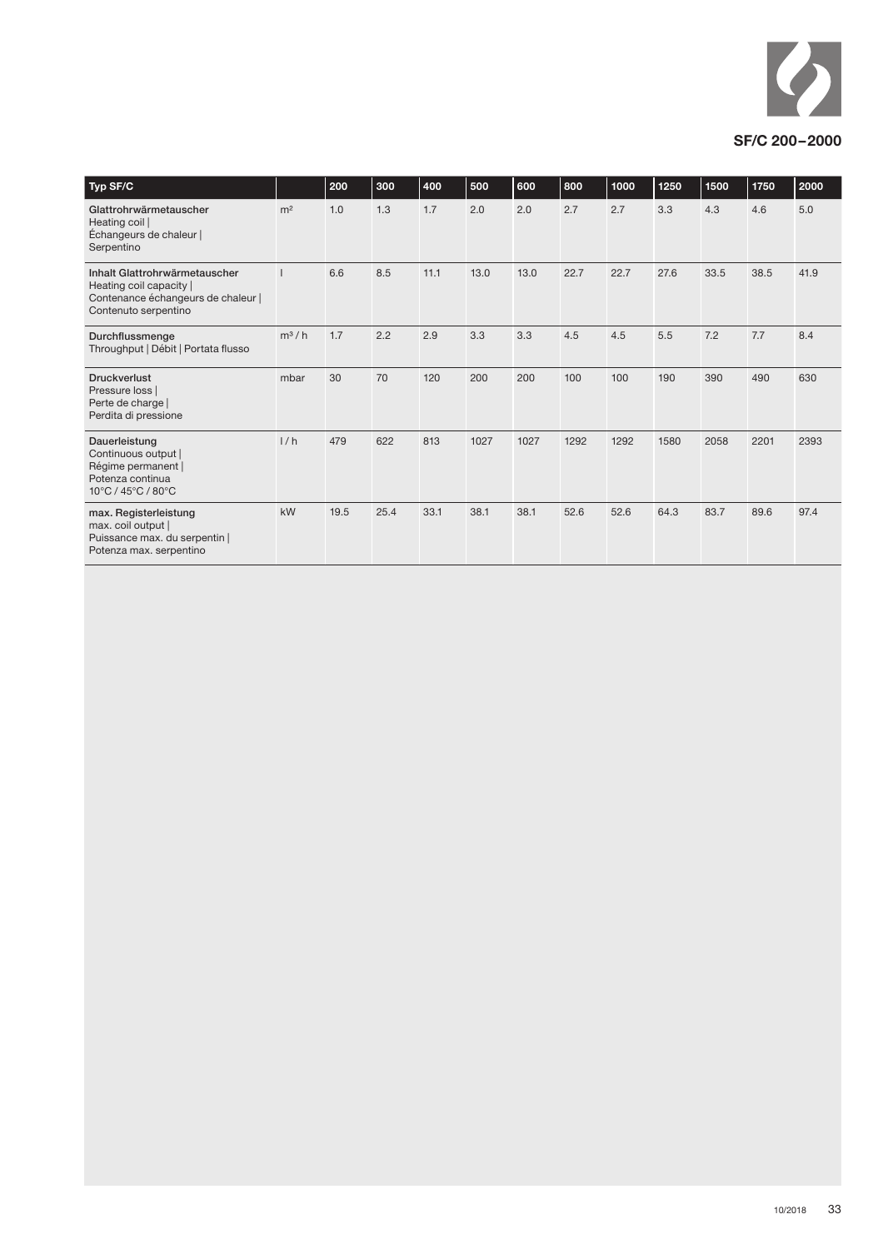

| Typ SF/C                                                                                                               |                | 200  | 300  | 400  | 500  | 600  | 800  | 1000 | 1250 | 1500 | 1750 | 2000 |
|------------------------------------------------------------------------------------------------------------------------|----------------|------|------|------|------|------|------|------|------|------|------|------|
| Glattrohrwärmetauscher<br>Heating coil  <br>Échangeurs de chaleur  <br>Serpentino                                      | m <sup>2</sup> | 1.0  | 1.3  | 1.7  | 2.0  | 2.0  | 2.7  | 2.7  | 3.3  | 4.3  | 4.6  | 5.0  |
| Inhalt Glattrohrwärmetauscher<br>Heating coil capacity  <br>Contenance échangeurs de chaleur  <br>Contenuto serpentino |                | 6.6  | 8.5  | 11.1 | 13.0 | 13.0 | 22.7 | 22.7 | 27.6 | 33.5 | 38.5 | 41.9 |
| Durchflussmenge<br>Throughput   Débit   Portata flusso                                                                 | $m^3/h$        | 1.7  | 2.2  | 2.9  | 3.3  | 3.3  | 4.5  | 4.5  | 5.5  | 7.2  | 7.7  | 8.4  |
| <b>Druckverlust</b><br>Pressure loss  <br>Perte de charge<br>Perdita di pressione                                      | mbar           | 30   | 70   | 120  | 200  | 200  | 100  | 100  | 190  | 390  | 490  | 630  |
| Dauerleistung<br>Continuous output  <br>Régime permanent  <br>Potenza continua<br>10°C / 45°C / 80°C                   | 1/h            | 479  | 622  | 813  | 1027 | 1027 | 1292 | 1292 | 1580 | 2058 | 2201 | 2393 |
| max. Registerleistung<br>max. coil output  <br>Puissance max. du serpentin  <br>Potenza max. serpentino                | kW             | 19.5 | 25.4 | 33.1 | 38.1 | 38.1 | 52.6 | 52.6 | 64.3 | 83.7 | 89.6 | 97.4 |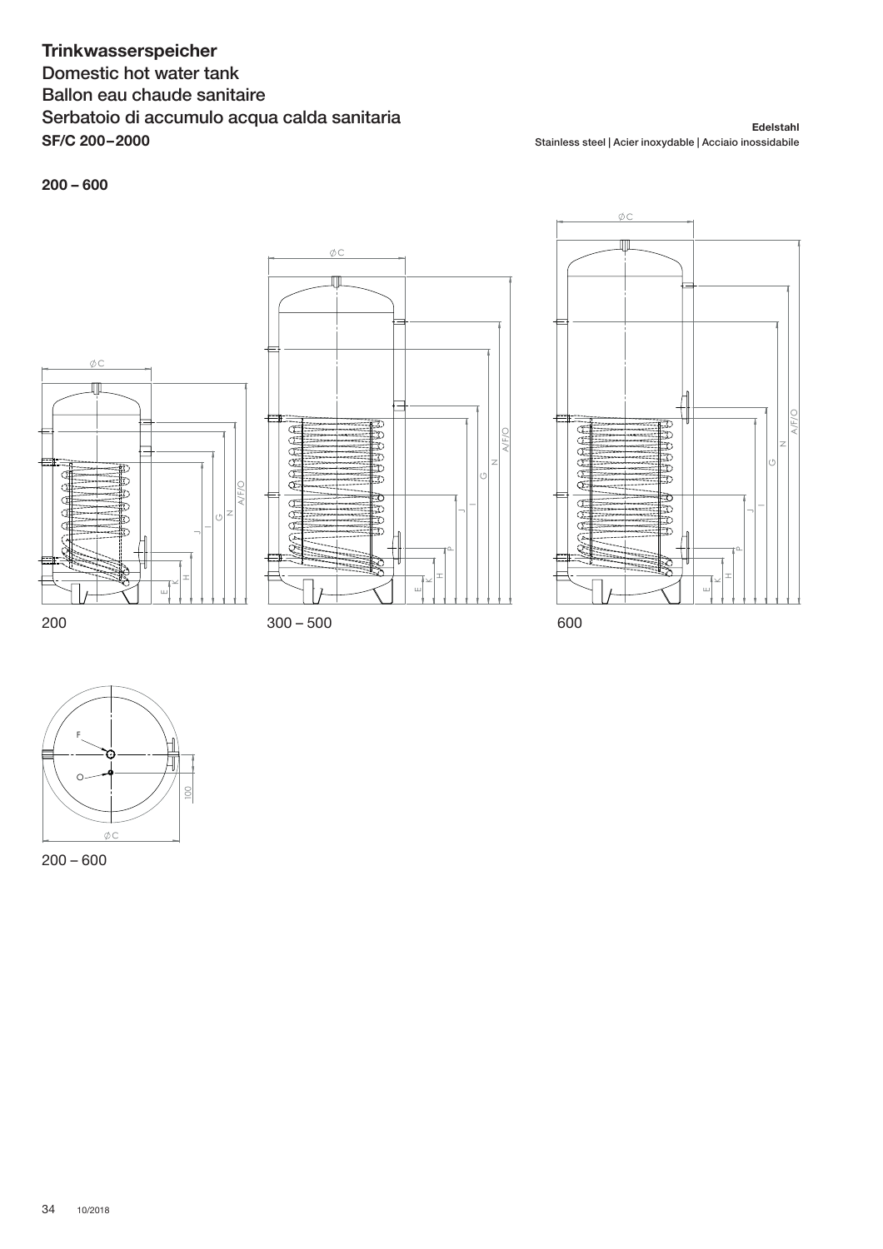## **Trinkwasserspeicher**

Domestic hot water tank Ballon eau chaude sanitaire Serbatoio di accumulo acqua calda sanitaria **SF/C 200 – 2000**

**Edelstahl** Stainless steel | Acier inoxydable | Acciaio inossidabile

### **200 – 600**









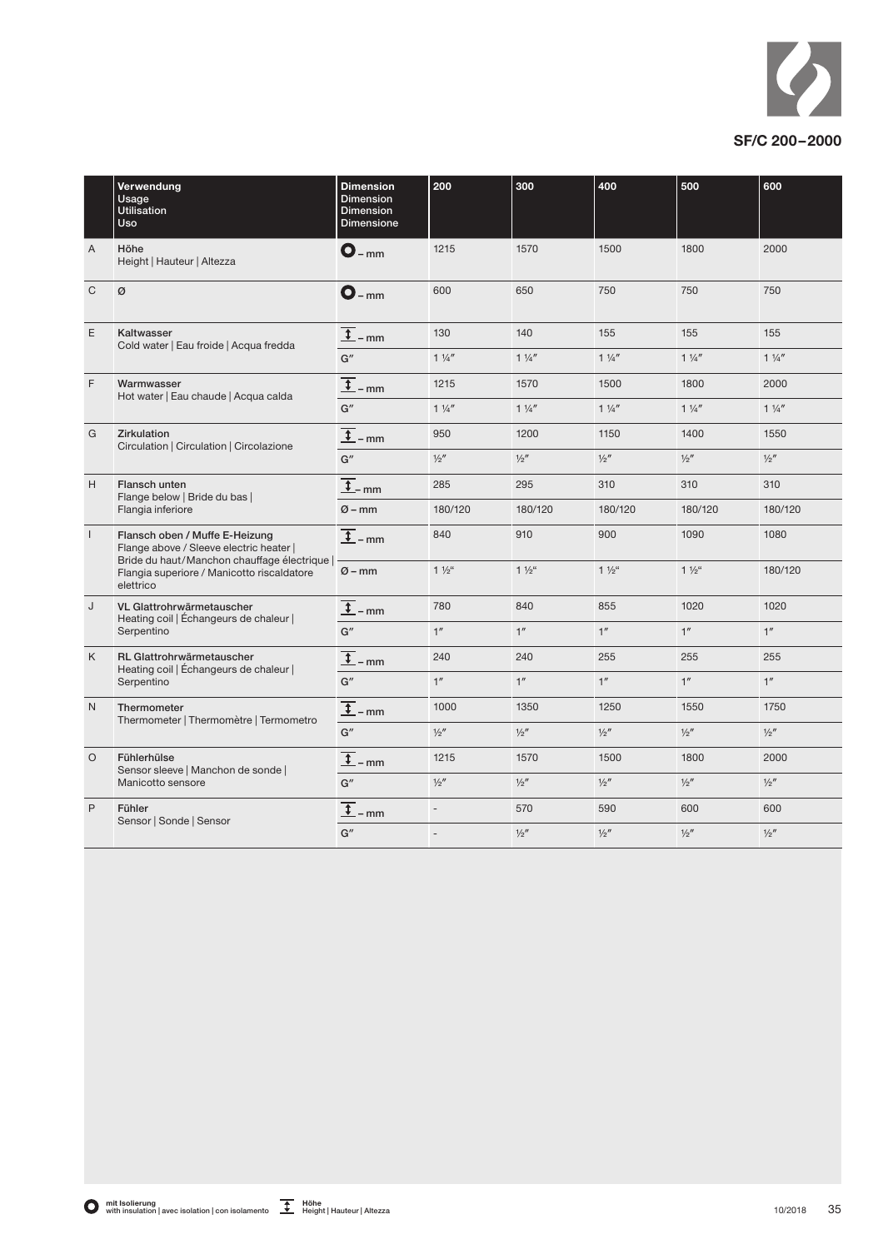

|                | Verwendung<br>Usage<br><b>Utilisation</b><br>Uso                                                                            | <b>Dimension</b><br><b>Dimension</b><br><b>Dimension</b><br><b>Dimensione</b> | 200                      | 300             | 400             | 500             | 600            |
|----------------|-----------------------------------------------------------------------------------------------------------------------------|-------------------------------------------------------------------------------|--------------------------|-----------------|-----------------|-----------------|----------------|
| $\overline{A}$ | Höhe<br>Height   Hauteur   Altezza                                                                                          | $O_{-mm}$                                                                     | 1215                     | 1570            | 1500            | 1800            | 2000           |
| $\mathsf{C}$   | Ø                                                                                                                           | $O_{-mm}$                                                                     | 600                      | 650             | 750             | 750             | 750            |
| E              | Kaltwasser<br>Cold water   Eau froide   Acqua fredda                                                                        | $\overline{1}$ – mm                                                           | 130                      | 140             | 155             | 155             | 155            |
|                |                                                                                                                             | G''                                                                           | $1\frac{1}{4}$           | $1\frac{1}{4}$  | $1\frac{1}{4}$  | $1\frac{1}{4}$  | $1\frac{1}{4}$ |
| $\mathsf{F}$   | Warmwasser<br>Hot water   Eau chaude   Acqua calda                                                                          | $\frac{1}{1}$ – mm                                                            | 1215                     | 1570            | 1500            | 1800            | 2000           |
|                |                                                                                                                             | G''                                                                           | $1\frac{1}{4}$           | $1\frac{1}{4}$  | $1\frac{1}{4}$  | $1\frac{1}{4}$  | $1\frac{1}{4}$ |
| G              | Zirkulation                                                                                                                 | $\overline{1}$ – mm                                                           | 950                      | 1200            | 1150            | 1400            | 1550           |
|                | Circulation   Circulation   Circolazione                                                                                    | G''                                                                           | $\frac{1}{2}$            | $\frac{1}{2}$   | $\frac{1}{2}$ " | $\frac{1}{2}$   | $\frac{1}{2}$  |
| H              | Flansch unten<br>Flange below   Bride du bas  <br>Flangia inferiore                                                         | $\overline{t}$ <sub>-mm</sub>                                                 | 285                      | 295             | 310             | 310             | 310            |
|                |                                                                                                                             | $Ø - mm$                                                                      | 180/120                  | 180/120         | 180/120         | 180/120         | 180/120        |
| $\mathbf{I}$   | Flansch oben / Muffe E-Heizung<br>Flange above / Sleeve electric heater  <br>Bride du haut/Manchon chauffage électrique   - | $\overline{t}$ – mm                                                           | 840                      | 910             | 900             | 1090            | 1080           |
|                | Flangia superiore / Manicotto riscaldatore<br>elettrico                                                                     | $Ø - mm$                                                                      | $1\frac{1}{2}$           | $1\frac{1}{2}$  | $1\frac{1}{2}$  | $1\frac{1}{2}$  | 180/120        |
| J              | VL Glattrohrwärmetauscher<br>Heating coil   Échangeurs de chaleur                                                           | $\frac{1}{\sqrt{2}}$ – mm                                                     | 780                      | 840             | 855             | 1020            | 1020           |
|                | Serpentino                                                                                                                  | G''                                                                           | 1 <sup>n</sup>           | 1 <sup>''</sup> | 1 <sup>''</sup> | 1 <sup>''</sup> | 1 <sup>n</sup> |
| K              | <b>RL Glattrohrwärmetauscher</b><br>Heating coil   Échangeurs de chaleur                                                    | $\overline{\downarrow}$<br>$-mm$                                              | 240                      | 240             | 255             | 255             | 255            |
|                | Serpentino                                                                                                                  | G''                                                                           | 1 <sup>n</sup>           | 1 <sup>''</sup> | 1 <sup>''</sup> | 1 <sup>''</sup> | 1 <sup>n</sup> |
| $\mathsf{N}$   | Thermometer<br>Thermometer   Thermomètre   Termometro                                                                       | $\overline{1}$ – mm                                                           | 1000                     | 1350            | 1250            | 1550            | 1750           |
|                |                                                                                                                             | G''                                                                           | $\frac{1}{2}$            | $\frac{1}{2}$   | $\frac{1}{2}$   | $\frac{1}{2}$   | $\frac{1}{2}$  |
| $\circ$        | Fühlerhülse<br>Sensor sleeve   Manchon de sonde                                                                             | $\frac{1}{1}$ – mm                                                            | 1215                     | 1570            | 1500            | 1800            | 2000           |
|                | Manicotto sensore                                                                                                           | G''                                                                           | $\frac{1}{2}$            | $\frac{1}{2}$   | 1/2''           | $\frac{1}{2}$   | 1/2''          |
| P              | Fühler                                                                                                                      | $\overline{\mathbf{t}}$<br>$-mm$                                              | $\overline{\phantom{a}}$ | 570             | 590             | 600             | 600            |
|                | Sensor   Sonde   Sensor                                                                                                     | G''                                                                           | $\overline{a}$           | $\frac{1}{2}$   | $\frac{1}{2}$   | $\frac{1}{2}$   | $\frac{1}{2}$  |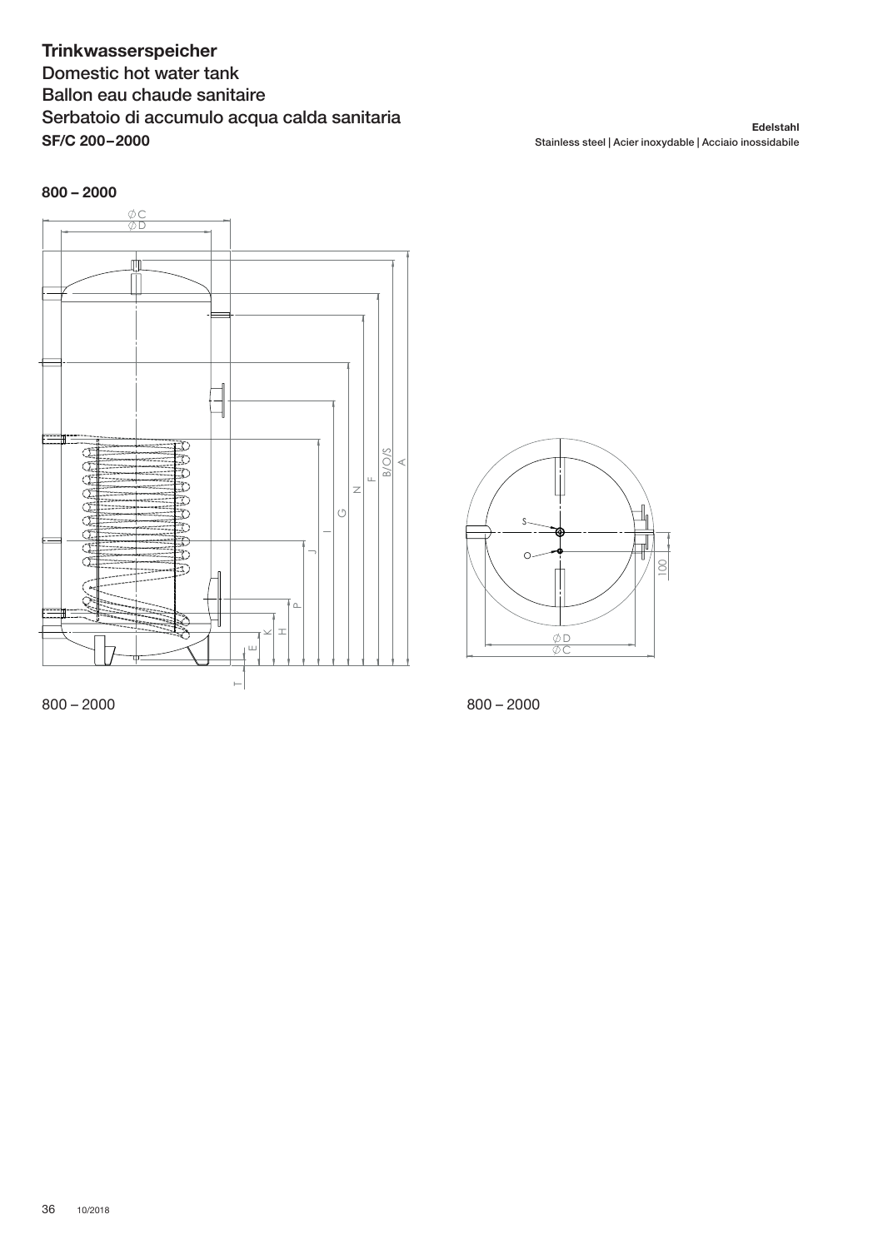## **Trinkwasserspeicher**

Domestic hot water tank Ballon eau chaude sanitaire Serbatoio di accumulo acqua calda sanitaria **SF/C 200 – 2000**

**Edelstahl** Stainless steel | Acier inoxydable | Acciaio inossidabile



 $800 - 2000$ 



 $800 - 2000$